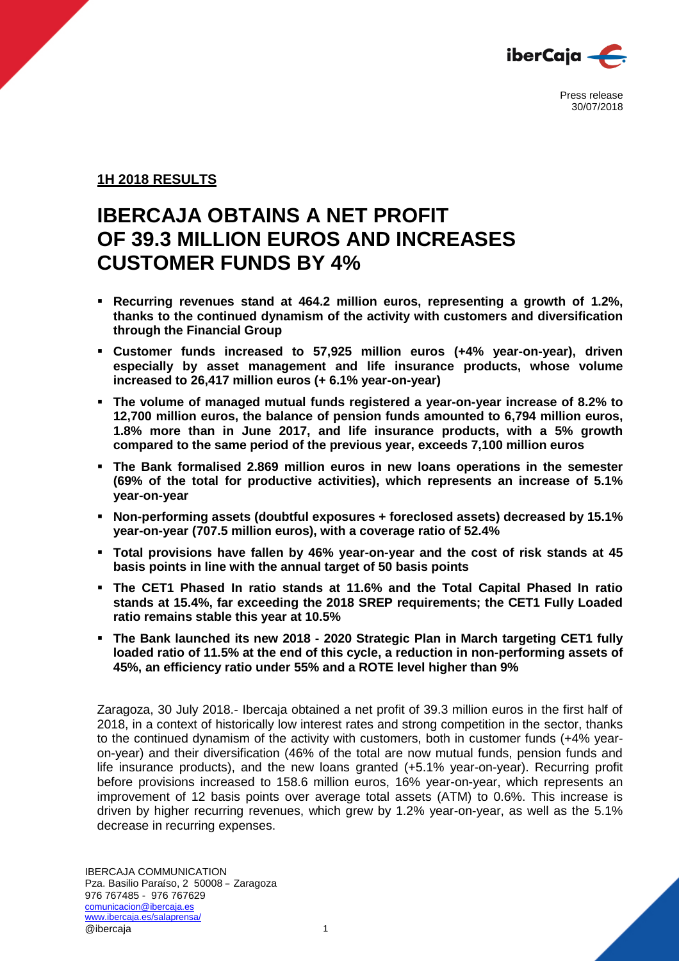

# **1H 2018 RESULTS**

# **IBERCAJA OBTAINS A NET PROFIT OF 39.3 MILLION EUROS AND INCREASES CUSTOMER FUNDS BY 4%**

- **Recurring revenues stand at 464.2 million euros, representing a growth of 1.2%, thanks to the continued dynamism of the activity with customers and diversification through the Financial Group**
- **Customer funds increased to 57,925 million euros (+4% year-on-year), driven especially by asset management and life insurance products, whose volume increased to 26,417 million euros (+ 6.1% year-on-year)**
- **The volume of managed mutual funds registered a year-on-year increase of 8.2% to 12,700 million euros, the balance of pension funds amounted to 6,794 million euros, 1.8% more than in June 2017, and life insurance products, with a 5% growth compared to the same period of the previous year, exceeds 7,100 million euros**
- **The Bank formalised 2.869 million euros in new loans operations in the semester (69% of the total for productive activities), which represents an increase of 5.1% year-on-year**
- **Non-performing assets (doubtful exposures + foreclosed assets) decreased by 15.1% year-on-year (707.5 million euros), with a coverage ratio of 52.4%**
- **Total provisions have fallen by 46% year-on-year and the cost of risk stands at 45 basis points in line with the annual target of 50 basis points**
- **The CET1 Phased In ratio stands at 11.6% and the Total Capital Phased In ratio stands at 15.4%, far exceeding the 2018 SREP requirements; the CET1 Fully Loaded ratio remains stable this year at 10.5%**
- **The Bank launched its new 2018 - 2020 Strategic Plan in March targeting CET1 fully loaded ratio of 11.5% at the end of this cycle, a reduction in non-performing assets of 45%, an efficiency ratio under 55% and a ROTE level higher than 9%**

Zaragoza, 30 July 2018.- Ibercaja obtained a net profit of 39.3 million euros in the first half of 2018, in a context of historically low interest rates and strong competition in the sector, thanks to the continued dynamism of the activity with customers, both in customer funds (+4% yearon-year) and their diversification (46% of the total are now mutual funds, pension funds and life insurance products), and the new loans granted (+5.1% year-on-year). Recurring profit before provisions increased to 158.6 million euros, 16% year-on-year, which represents an improvement of 12 basis points over average total assets (ATM) to 0.6%. This increase is driven by higher recurring revenues, which grew by 1.2% year-on-year, as well as the 5.1% decrease in recurring expenses.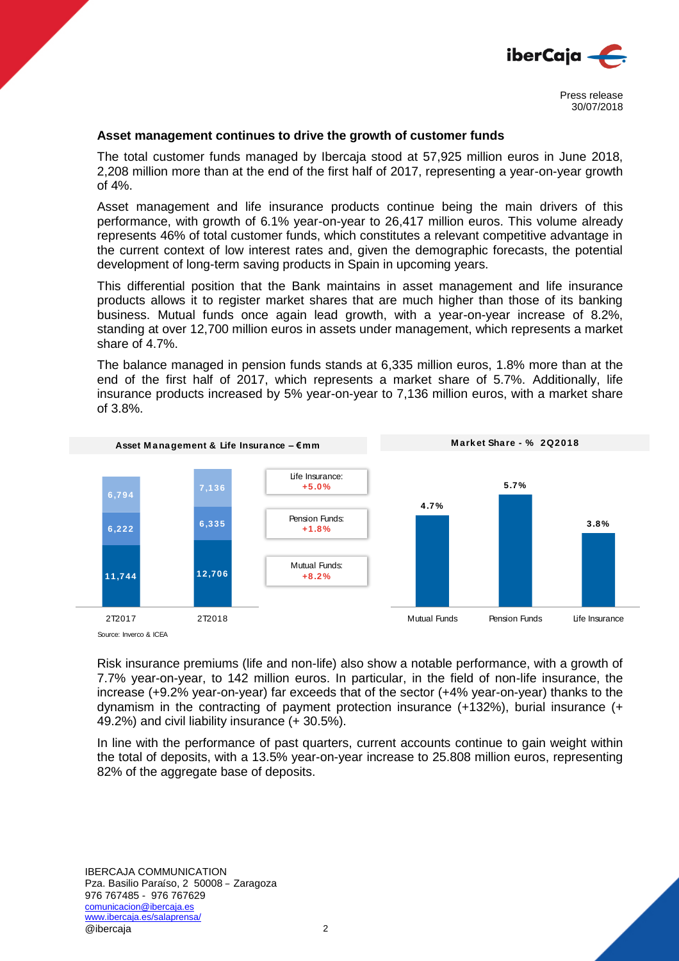

#### **Asset management continues to drive the growth of customer funds**

The total customer funds managed by Ibercaja stood at 57,925 million euros in June 2018, 2,208 million more than at the end of the first half of 2017, representing a year-on-year growth of 4%.

Asset management and life insurance products continue being the main drivers of this performance, with growth of 6.1% year-on-year to 26,417 million euros. This volume already represents 46% of total customer funds, which constitutes a relevant competitive advantage in the current context of low interest rates and, given the demographic forecasts, the potential development of long-term saving products in Spain in upcoming years.

This differential position that the Bank maintains in asset management and life insurance products allows it to register market shares that are much higher than those of its banking business. Mutual funds once again lead growth, with a year-on-year increase of 8.2%, standing at over 12,700 million euros in assets under management, which represents a market share of 4.7%.

The balance managed in pension funds stands at 6,335 million euros, 1.8% more than at the end of the first half of 2017, which represents a market share of 5.7%. Additionally, life insurance products increased by 5% year-on-year to 7,136 million euros, with a market share of 3.8%. **M** are interest interest of 2017, which represents a market share of 5.7%. Additional<br>
durance products increased by 5% year-on-year to 7,136 million euros, with a marke<br>
3.8%.<br> **Asset Management & Life Insurance – €mm**<br>



Source: Inverco & ICEA

Risk insurance premiums (life and non-life) also show a notable performance, with a growth of 7.7% year-on-year, to 142 million euros. In particular, in the field of non-life insurance, the increase (+9.2% year-on-year) far exceeds that of the sector (+4% year-on-year) thanks to the dynamism in the contracting of payment protection insurance (+132%), burial insurance (+ 49.2%) and civil liability insurance (+ 30.5%).

In line with the performance of past quarters, current accounts continue to gain weight within the total of deposits, with a 13.5% year-on-year increase to 25.808 million euros, representing 82% of the aggregate base of deposits.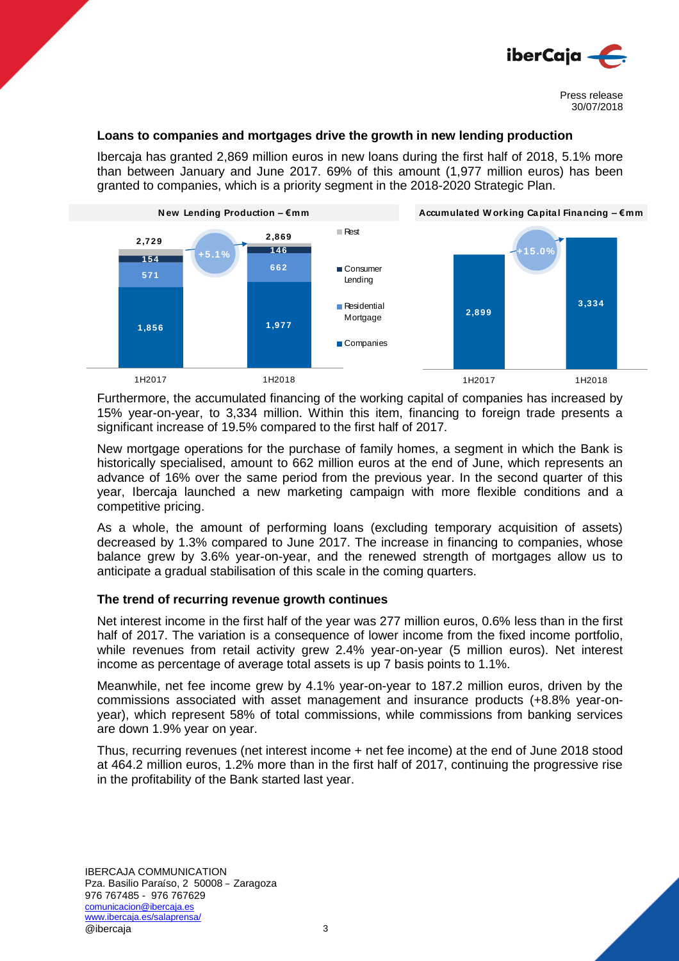

## **Loans to companies and mortgages drive the growth in new lending production**

Ibercaja has granted 2,869 million euros in new loans during the first half of 2018, 5.1% more<br>
than between January and June 2017. 69% of this amount (1,977 million euros) has been<br>
granted to companies, which is a prior than between January and June 2017. 69% of this amount (1,977 million euros) has been granted to companies, which is a priority segment in the 2018-2020 Strategic Plan. Fing the first half of 2018, 5.1% more<br>
punt (1,977 million euros) has been<br>
018-2020 Strategic Plan.<br>
Accumulated Working Capital Financing – €mm



Furthermore, the accumulated financing of the working capital of companies has increased by 15% year-on-year, to 3,334 million. Within this item, financing to foreign trade presents a significant increase of 19.5% compared to the first half of 2017.

New mortgage operations for the purchase of family homes, a segment in which the Bank is historically specialised, amount to 662 million euros at the end of June, which represents an advance of 16% over the same period from the previous year. In the second quarter of this year, Ibercaja launched a new marketing campaign with more flexible conditions and a competitive pricing.

As a whole, the amount of performing loans (excluding temporary acquisition of assets) decreased by 1.3% compared to June 2017. The increase in financing to companies, whose balance grew by 3.6% year-on-year, and the renewed strength of mortgages allow us to anticipate a gradual stabilisation of this scale in the coming quarters.

## **The trend of recurring revenue growth continues**

Net interest income in the first half of the year was 277 million euros, 0.6% less than in the first half of 2017. The variation is a consequence of lower income from the fixed income portfolio, while revenues from retail activity grew 2.4% year-on-year (5 million euros). Net interest income as percentage of average total assets is up 7 basis points to 1.1%.

Meanwhile, net fee income grew by 4.1% year-on-year to 187.2 million euros, driven by the commissions associated with asset management and insurance products (+8.8% year-onyear), which represent 58% of total commissions, while commissions from banking services are down 1.9% year on year.

Thus, recurring revenues (net interest income + net fee income) at the end of June 2018 stood at 464.2 million euros, 1.2% more than in the first half of 2017, continuing the progressive rise in the profitability of the Bank started last year.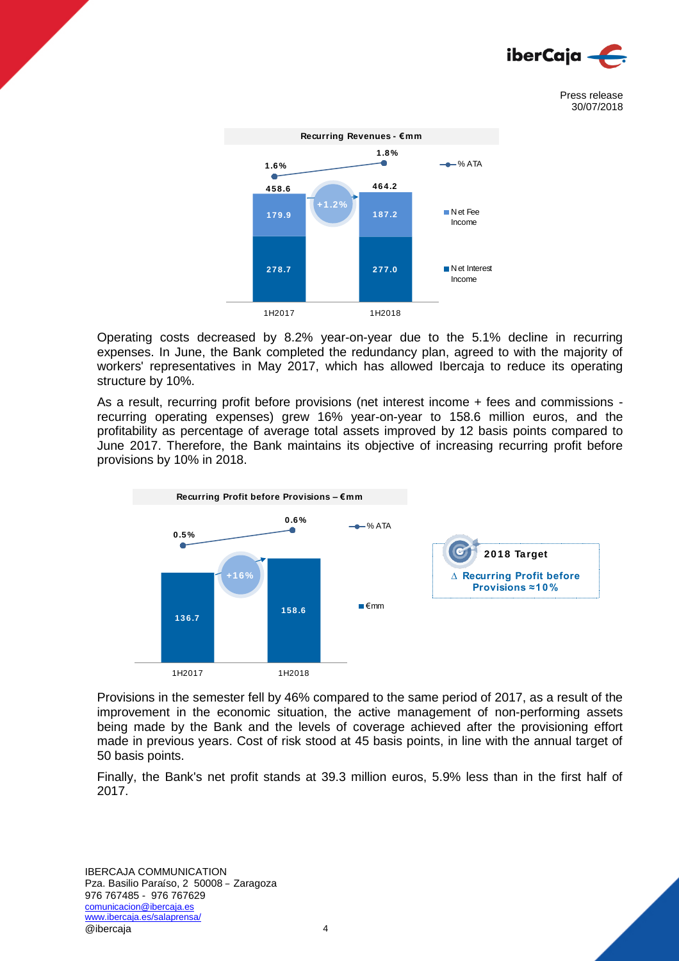



Operating costs decreased by 8.2% year-on-year due to the 5.1% decline in recurring expenses. In June, the Bank completed the redundancy plan, agreed to with the majority of workers' representatives in May 2017, which has allowed Ibercaja to reduce its operating structure by 10%.

As a result, recurring profit before provisions (net interest income + fees and commissions recurring operating expenses) grew 16% year-on-year to 158.6 million euros, and the profitability as percentage of average total assets improved by 12 basis points compared to June 2017. Therefore, the Bank maintains its objective of increasing recurring profit before provisions by 10% in 2018.



Provisions in the semester fell by 46% compared to the same period of 2017, as a result of the improvement in the economic situation, the active management of non-performing assets being made by the Bank and the levels of coverage achieved after the provisioning effort made in previous years. Cost of risk stood at 45 basis points, in line with the annual target of 50 basis points.

Finally, the Bank's net profit stands at 39.3 million euros, 5.9% less than in the first half of 2017.

IBERCAJA COMMUNICATION Pza. Basilio Paraíso, 2 50008 – Zaragoza 976 767485 - 976 767629 comunicacion@ibercaja.es www.ibercaja.es/salaprensa/ @ibercaja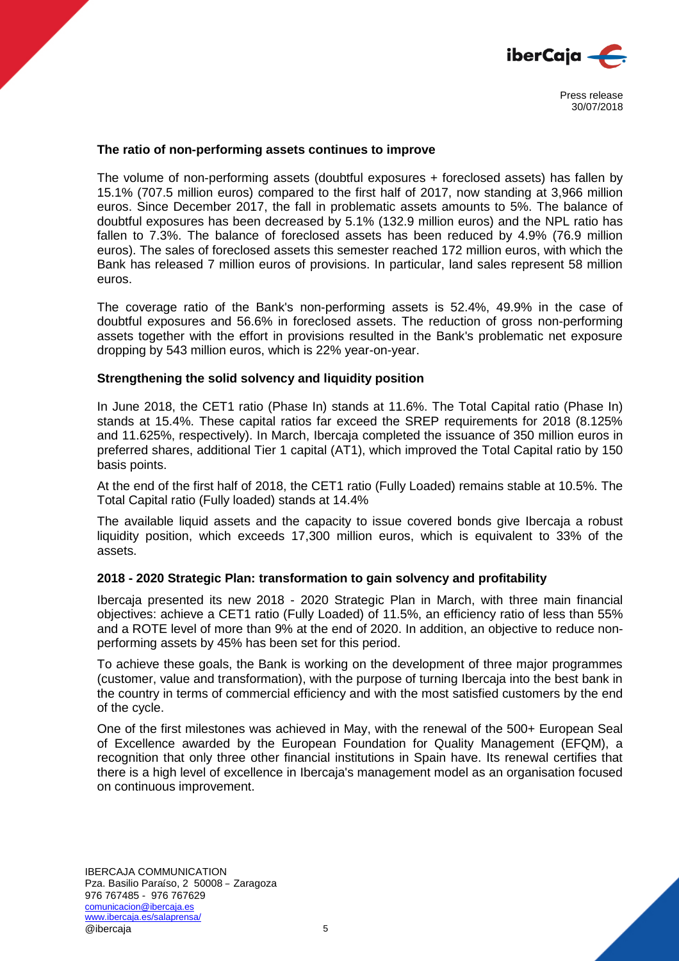

#### **The ratio of non-performing assets continues to improve**

The volume of non-performing assets (doubtful exposures + foreclosed assets) has fallen by 15.1% (707.5 million euros) compared to the first half of 2017, now standing at 3,966 million euros. Since December 2017, the fall in problematic assets amounts to 5%. The balance of doubtful exposures has been decreased by 5.1% (132.9 million euros) and the NPL ratio has fallen to 7.3%. The balance of foreclosed assets has been reduced by 4.9% (76.9 million euros). The sales of foreclosed assets this semester reached 172 million euros, with which the Bank has released 7 million euros of provisions. In particular, land sales represent 58 million euros.

The coverage ratio of the Bank's non-performing assets is 52.4%, 49.9% in the case of doubtful exposures and 56.6% in foreclosed assets. The reduction of gross non-performing assets together with the effort in provisions resulted in the Bank's problematic net exposure dropping by 543 million euros, which is 22% year-on-year.

#### **Strengthening the solid solvency and liquidity position**

In June 2018, the CET1 ratio (Phase In) stands at 11.6%. The Total Capital ratio (Phase In) stands at 15.4%. These capital ratios far exceed the SREP requirements for 2018 (8.125% and 11.625%, respectively). In March, Ibercaja completed the issuance of 350 million euros in preferred shares, additional Tier 1 capital (AT1), which improved the Total Capital ratio by 150 basis points.

At the end of the first half of 2018, the CET1 ratio (Fully Loaded) remains stable at 10.5%. The Total Capital ratio (Fully loaded) stands at 14.4%

The available liquid assets and the capacity to issue covered bonds give Ibercaja a robust liquidity position, which exceeds 17,300 million euros, which is equivalent to 33% of the assets.

## **2018 - 2020 Strategic Plan: transformation to gain solvency and profitability**

Ibercaja presented its new 2018 - 2020 Strategic Plan in March, with three main financial objectives: achieve a CET1 ratio (Fully Loaded) of 11.5%, an efficiency ratio of less than 55% and a ROTE level of more than 9% at the end of 2020. In addition, an objective to reduce nonperforming assets by 45% has been set for this period.

To achieve these goals, the Bank is working on the development of three major programmes (customer, value and transformation), with the purpose of turning Ibercaja into the best bank in the country in terms of commercial efficiency and with the most satisfied customers by the end of the cycle.

One of the first milestones was achieved in May, with the renewal of the 500+ European Seal of Excellence awarded by the European Foundation for Quality Management (EFQM), a recognition that only three other financial institutions in Spain have. Its renewal certifies that there is a high level of excellence in Ibercaja's management model as an organisation focused on continuous improvement.